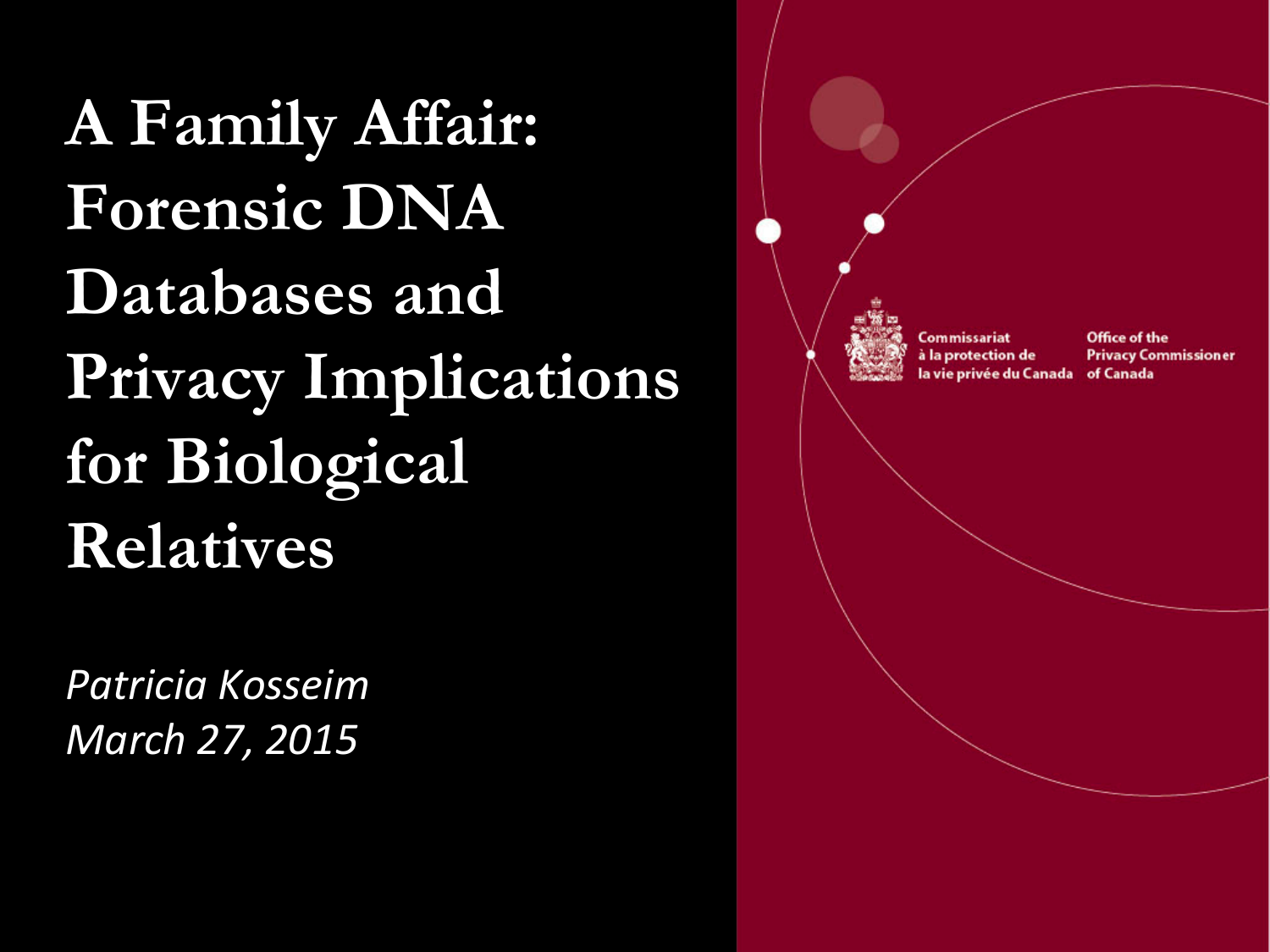**A Family Affair: Forensic DNA Databases and Privacy Implications for Biological Relatives**

*Patricia Kosseim March 27, 2015*

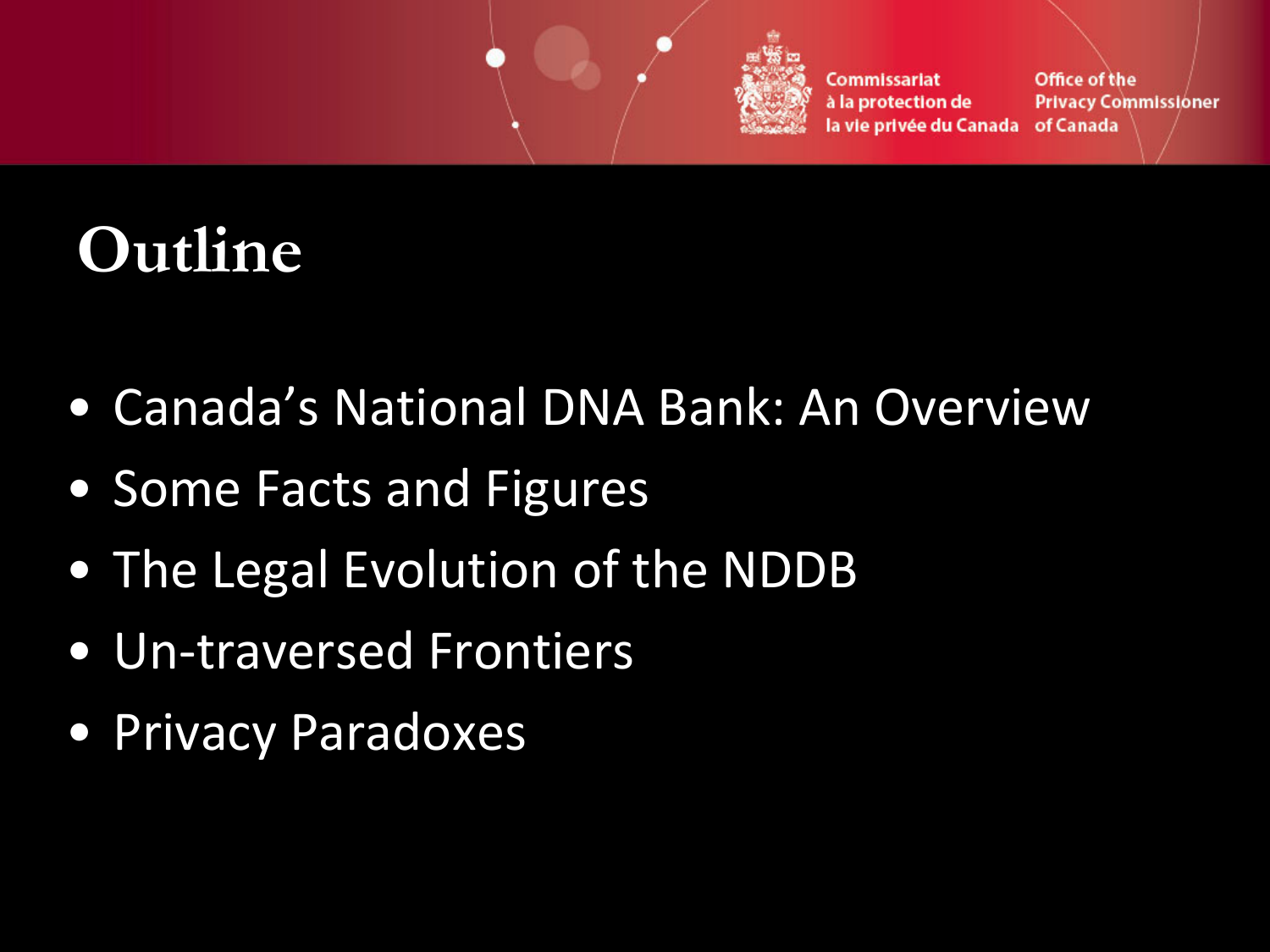

Office of the Commissariat à la protection de **Privacy Commissioner** la vie privée du Canada of Canada

## **Outline**

- Canada's National DNA Bank: An Overview
- Some Facts and Figures
- The Legal Evolution of the NDDB
- Un-traversed Frontiers
- Privacy Paradoxes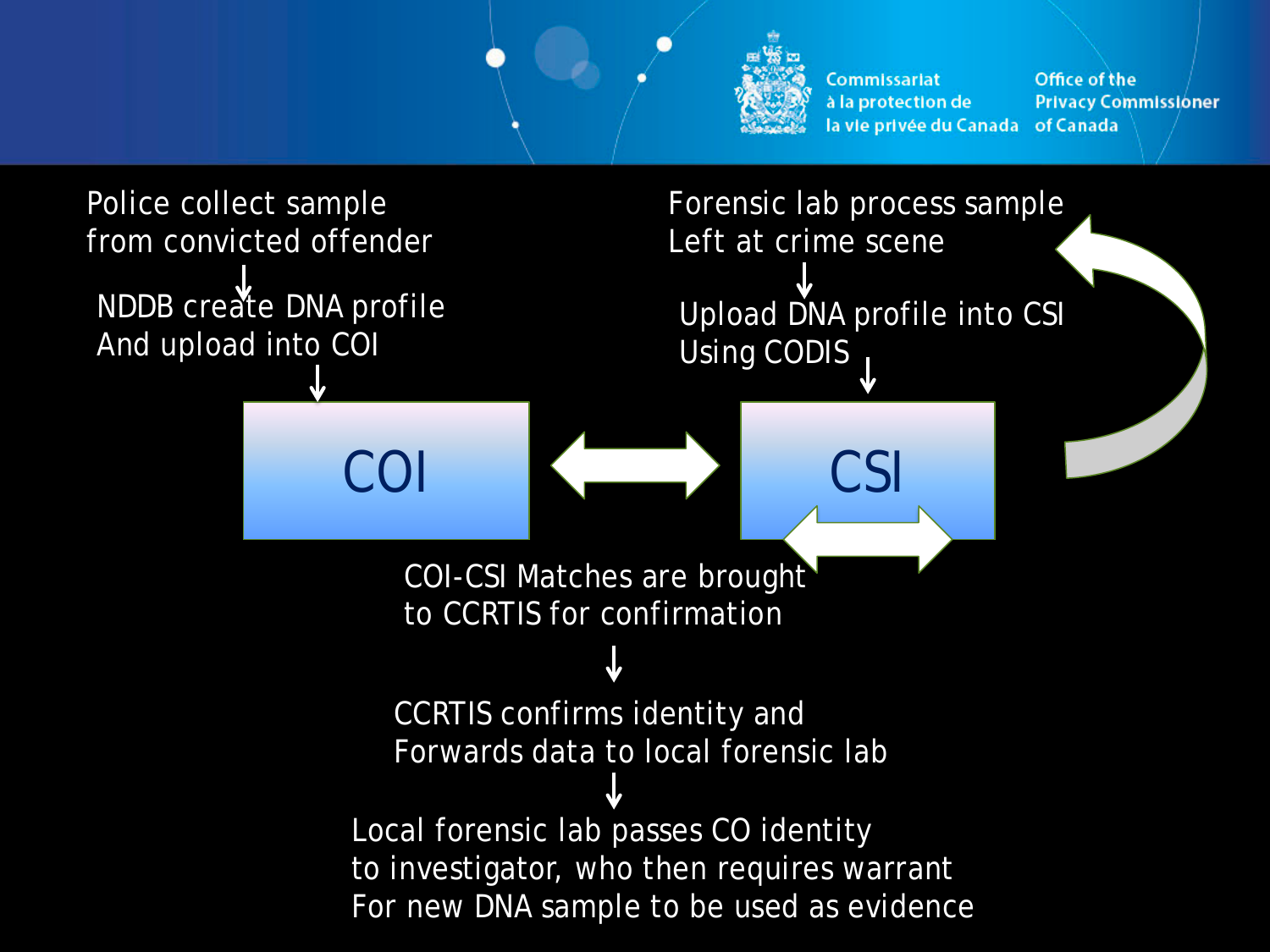

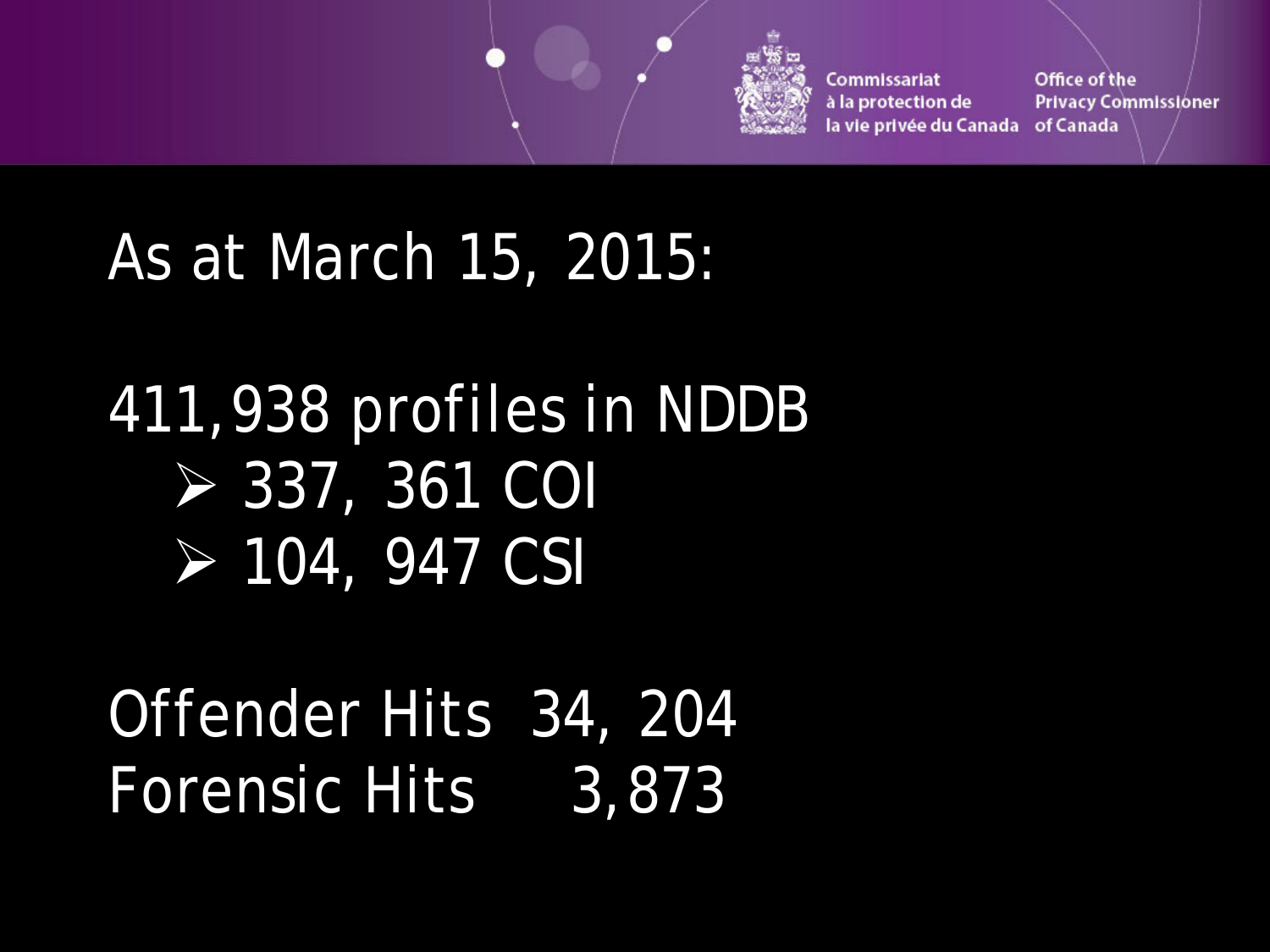

Office of the Commissariat à la protection de **Privacy Commissioner** la vie privée du Canada of Canada

### As at March 15, 2015:

## 411,938 profiles in NDDB 337, 361 COI 104, 947 CSI

Offender Hits 34, 204 Forensic Hits 3,873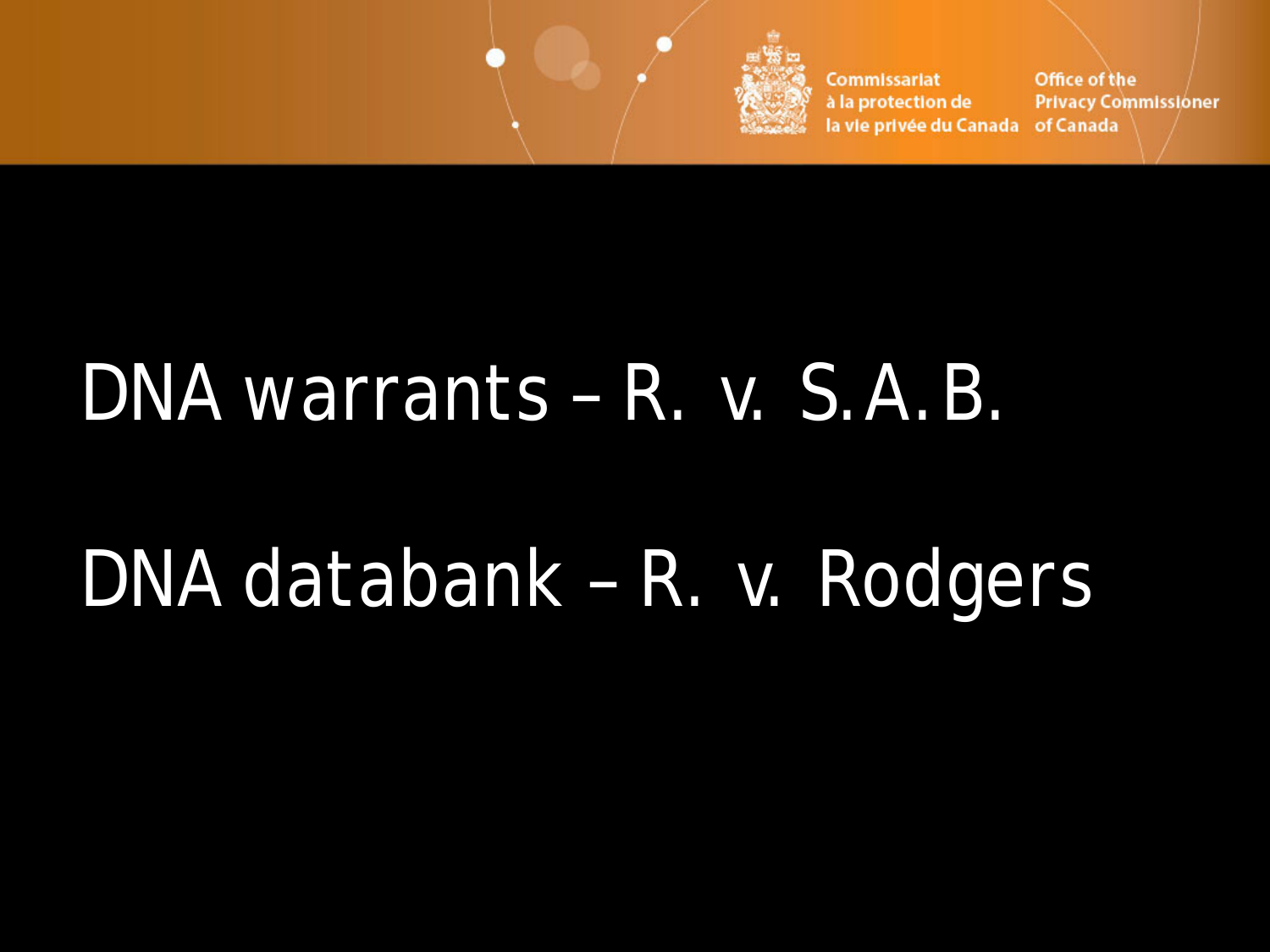

Commissariat Office of the **Privacy Commissioner** à la protection de la vie privée du Canada of Canada

## DNA warrants – *R. v. S.A.B*.

## DNA databank – *R. v. Rodgers*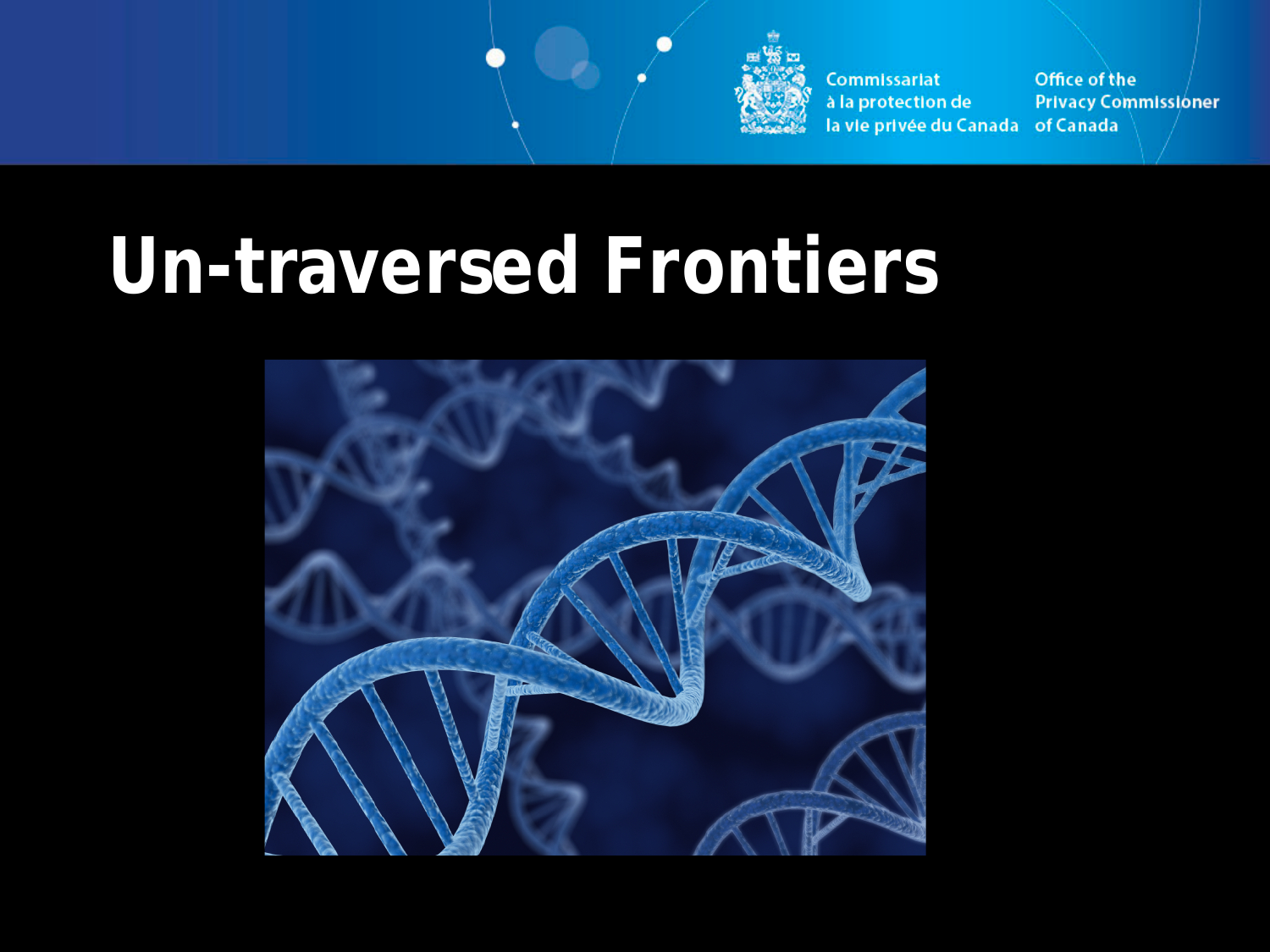

Office of the Commissariat à la protection de **Privacy Commissioner** la vie privée du Canada of Canada

# **Un-traversed Frontiers**

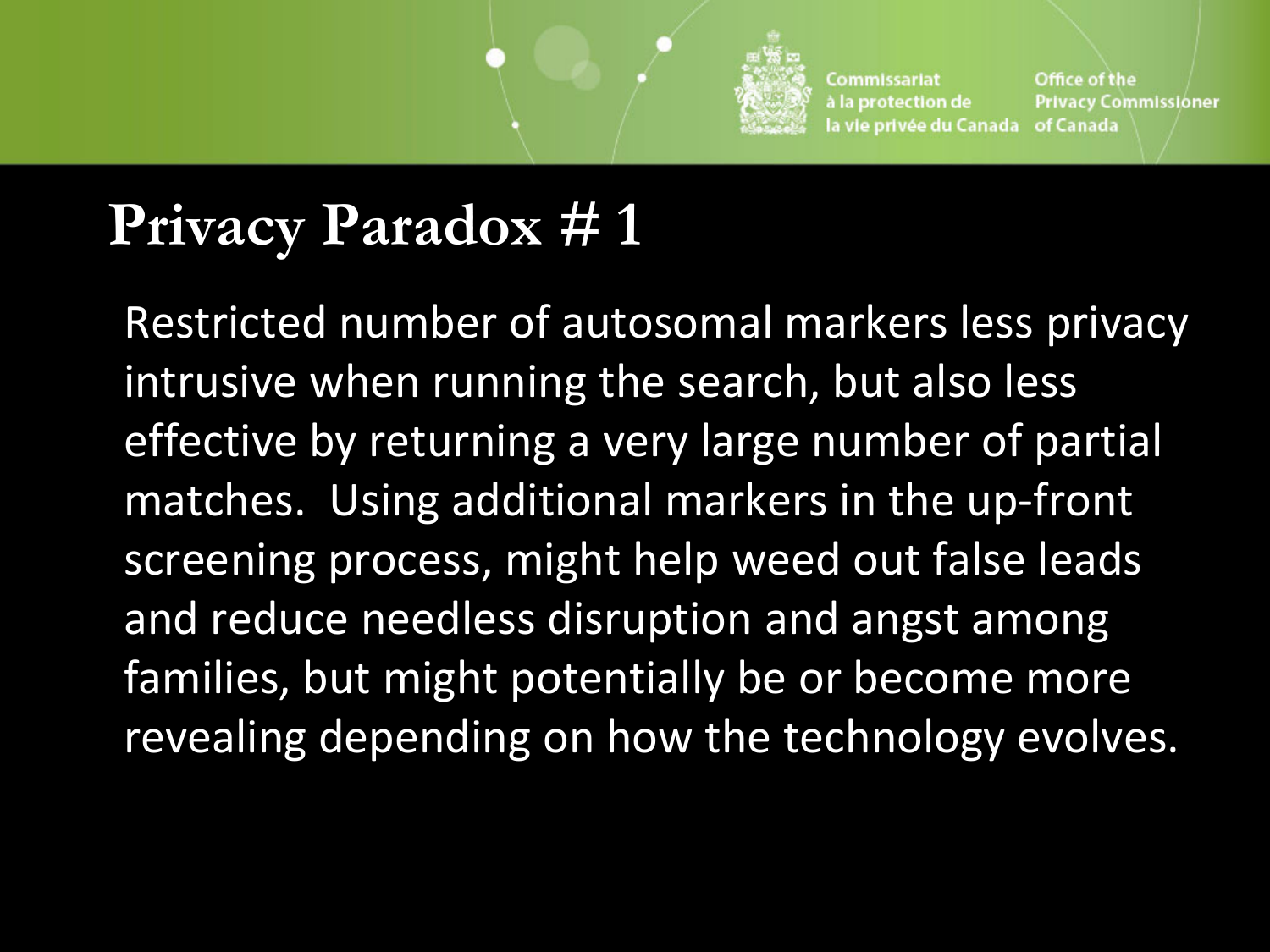

### **Privacy Paradox # 1**

Restricted number of autosomal markers less privacy intrusive when running the search, but also less effective by returning a very large number of partial matches. Using additional markers in the up-front screening process, might help weed out false leads and reduce needless disruption and angst among families, but might potentially be or become more revealing depending on how the technology evolves.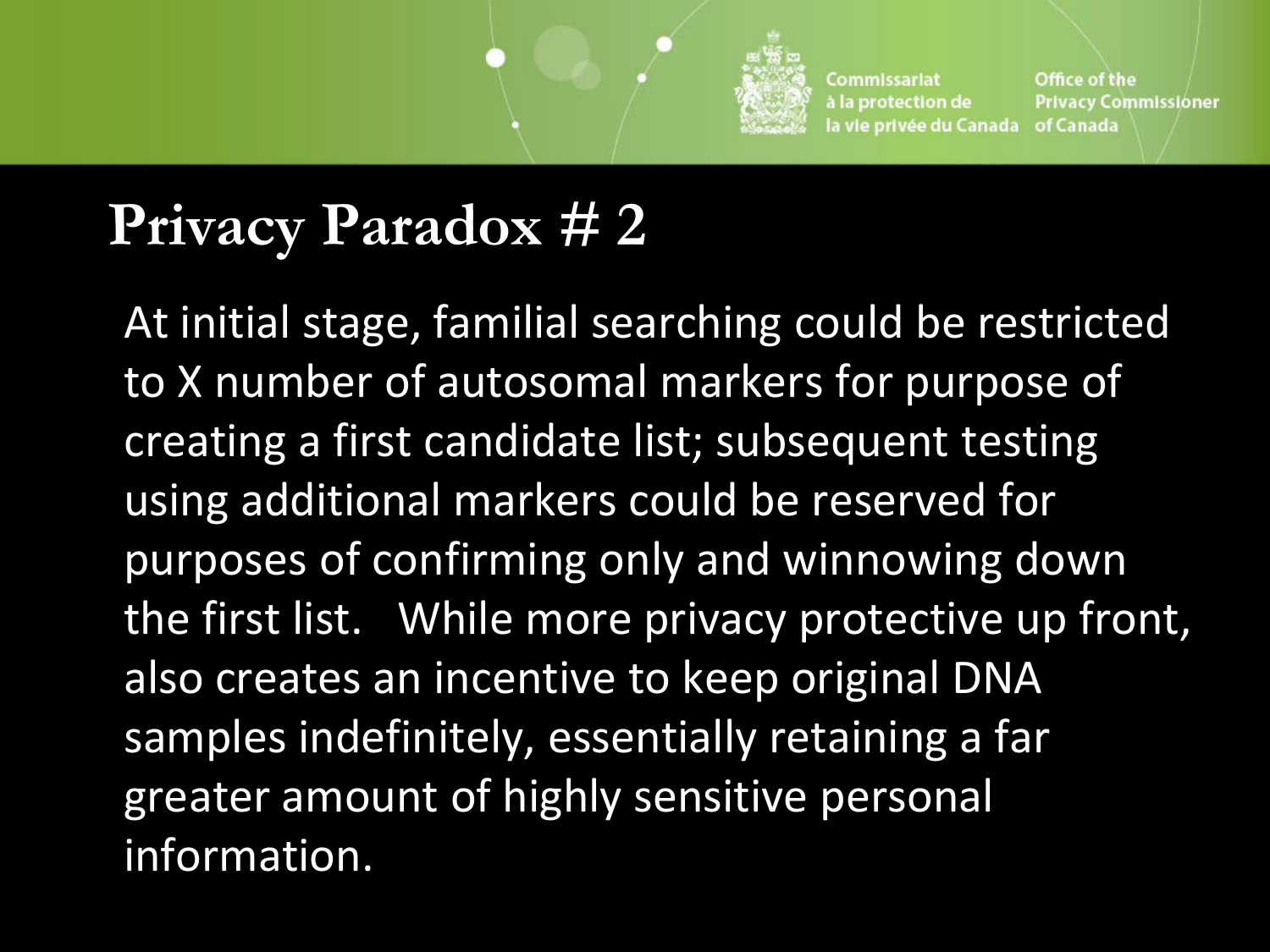

#### **Privacy Paradox # 2**

At initial stage, familial searching could be restricted to X number of autosomal markers for purpose of creating a first candidate list; subsequent testing using additional markers could be reserved for purposes of confirming only and winnowing down the first list. While more privacy protective up front, also creates an incentive to keep original DNA samples indefinitely, essentially retaining a far greater amount of highly sensitive personal information.